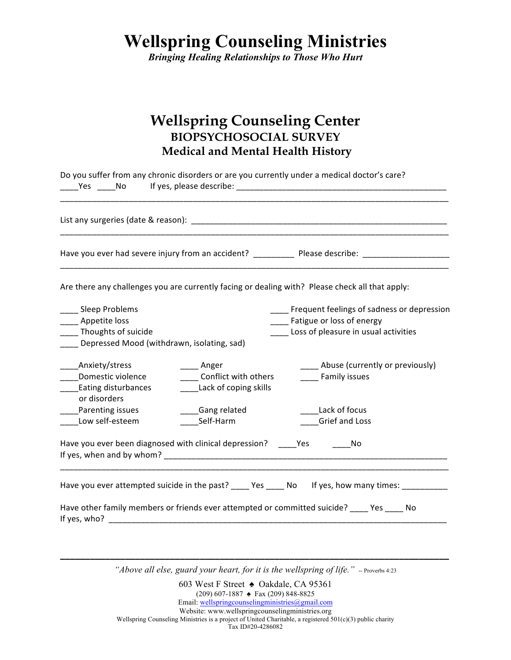*Bringing Healing Relationships to Those Who Hurt*

## **Wellspring Counseling Center BIOPSYCHOSOCIAL SURVEY Medical and Mental Health History**

|                                                                                                                                                                                                                                |                       | Do you suffer from any chronic disorders or are you currently under a medical doctor's care?        |  |  |
|--------------------------------------------------------------------------------------------------------------------------------------------------------------------------------------------------------------------------------|-----------------------|-----------------------------------------------------------------------------------------------------|--|--|
|                                                                                                                                                                                                                                |                       |                                                                                                     |  |  |
|                                                                                                                                                                                                                                |                       |                                                                                                     |  |  |
|                                                                                                                                                                                                                                |                       | Are there any challenges you are currently facing or dealing with? Please check all that apply:     |  |  |
| _____ Sleep Problems                                                                                                                                                                                                           |                       | Frequent feelings of sadness or depression                                                          |  |  |
| _____ Appetite loss                                                                                                                                                                                                            |                       | Fatigue or loss of energy                                                                           |  |  |
| Thoughts of suicide                                                                                                                                                                                                            |                       | Loss of pleasure in usual activities                                                                |  |  |
| Depressed Mood (withdrawn, isolating, sad)                                                                                                                                                                                     |                       |                                                                                                     |  |  |
| Anxiety/stress                                                                                                                                                                                                                 | Anger                 | __ Abuse (currently or previously)                                                                  |  |  |
| Domestic violence<br>$\overline{\phantom{a}}$                                                                                                                                                                                  | Conflict with others  | Family issues                                                                                       |  |  |
| Eating disturbances<br>or disorders                                                                                                                                                                                            | Lack of coping skills |                                                                                                     |  |  |
| <b>Parenting issues</b>                                                                                                                                                                                                        | Gang related          | Lack of focus                                                                                       |  |  |
| Low self-esteem                                                                                                                                                                                                                | Self-Harm             | Grief and Loss                                                                                      |  |  |
| Have you ever been diagnosed with clinical depression? ______ Yes __________ No                                                                                                                                                |                       |                                                                                                     |  |  |
|                                                                                                                                                                                                                                |                       | Have you ever attempted suicide in the past? _____ Yes _____ No If yes, how many times: ___________ |  |  |
| If yes, who? The contract of the contract of the contract of the contract of the contract of the contract of the contract of the contract of the contract of the contract of the contract of the contract of the contract of t |                       | Have other family members or friends ever attempted or committed suicide? ____ Yes ____ No          |  |  |

*"Above all else, guard your heart, for it is the wellspring of life."* -- Proverbs 4:23 **\_\_\_\_\_\_\_\_\_\_\_\_\_\_\_\_\_\_\_\_\_\_\_\_\_\_\_\_\_\_\_\_\_\_\_\_\_\_\_\_\_\_\_\_\_\_\_\_\_\_\_\_\_\_\_\_\_\_\_\_\_\_\_\_\_\_\_\_\_\_\_\_\_\_\_\_\_\_**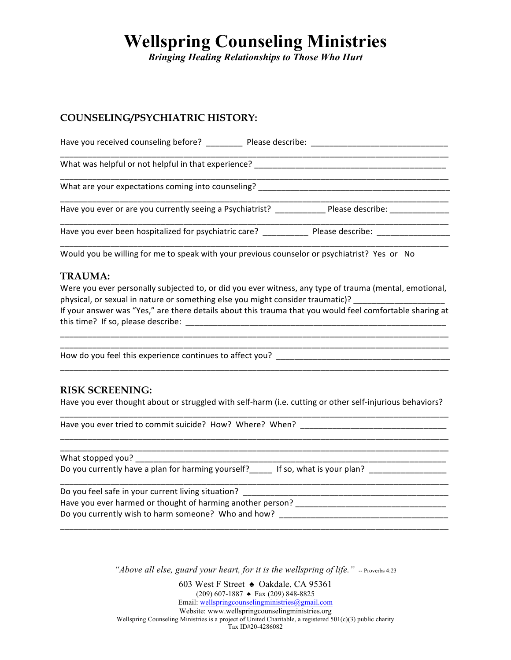*Bringing Healing Relationships to Those Who Hurt*

### **COUNSELING/PSYCHIATRIC HISTORY:**

Have you received counseling before? \_\_\_\_\_\_\_\_\_\_ Please describe: \_\_\_\_\_\_\_\_\_\_\_\_\_\_\_ \_\_\_\_\_\_\_\_\_\_\_\_\_\_\_\_\_\_\_\_\_\_\_\_\_\_\_\_\_\_\_\_\_\_\_\_\_\_\_\_\_\_\_\_\_\_\_\_\_\_\_\_\_\_\_\_\_\_\_\_\_\_\_\_\_\_\_\_\_\_\_\_\_\_\_\_\_\_\_\_\_\_\_\_\_ What was helpful or not helpful in that experience? \_\_\_\_\_\_\_\_\_\_\_\_\_\_\_\_\_\_\_\_\_\_\_\_\_\_\_\_\_\_\_\_\_\_\_\_\_\_\_\_\_\_\_\_\_\_\_\_\_\_\_\_\_\_\_\_\_\_\_\_\_\_\_\_\_\_\_\_\_\_\_\_\_\_\_\_\_\_\_\_\_\_\_\_\_ What are your expectations coming into counseling? \_\_\_\_\_\_\_\_\_\_\_\_\_\_\_\_\_\_\_\_\_\_\_\_\_\_\_\_\_\_\_\_\_\_\_\_\_\_\_\_\_\_ \_\_\_\_\_\_\_\_\_\_\_\_\_\_\_\_\_\_\_\_\_\_\_\_\_\_\_\_\_\_\_\_\_\_\_\_\_\_\_\_\_\_\_\_\_\_\_\_\_\_\_\_\_\_\_\_\_\_\_\_\_\_\_\_\_\_\_\_\_\_\_\_\_\_\_\_\_\_\_\_\_\_\_\_\_ Have you ever or are you currently seeing a Psychiatrist? \_\_\_\_\_\_\_\_\_\_\_\_\_\_Please describe: \_\_\_\_\_\_\_\_\_\_\_\_\_\_\_\_ \_\_\_\_\_\_\_\_\_\_\_\_\_\_\_\_\_\_\_\_\_\_\_\_\_\_\_\_\_\_\_\_\_\_\_\_\_\_\_\_\_\_\_\_\_\_\_\_\_\_\_\_\_\_\_\_\_\_\_\_\_\_\_\_\_\_\_\_\_\_\_\_\_\_\_\_\_\_\_\_\_\_\_\_\_ Have you ever been hospitalized for psychiatric care? \_\_\_\_\_\_\_\_\_\_\_\_\_ Please describe: \_\_\_\_\_\_\_\_\_\_\_\_\_\_\_\_\_\_\_\_\_\_\_\_\_ \_\_\_\_\_\_\_\_\_\_\_\_\_\_\_\_\_\_\_\_\_\_\_\_\_\_\_\_\_\_\_\_\_\_\_\_\_\_\_\_\_\_\_\_\_\_\_\_\_\_\_\_\_\_\_\_\_\_\_\_\_\_\_\_\_\_\_\_\_\_\_\_\_\_\_\_\_\_\_\_\_\_\_\_\_

Would you be willing for me to speak with your previous counselor or psychiatrist? Yes or No

### **TRAUMA:**

Were you ever personally subjected to, or did you ever witness, any type of trauma (mental, emotional, physical, or sexual in nature or something else you might consider traumatic)? \_\_\_\_\_\_\_

If your answer was "Yes," are there details about this trauma that you would feel comfortable sharing at this time? If so, please describe: \_\_\_\_\_\_\_\_\_\_\_\_\_\_\_\_\_\_\_\_\_\_\_\_\_\_\_\_\_\_\_\_\_\_\_\_\_\_\_\_\_\_\_\_\_\_\_\_\_\_\_\_\_\_\_\_\_\_\_\_\_\_\_\_\_\_\_\_\_\_\_\_\_\_\_\_\_\_\_\_\_\_\_\_\_

\_\_\_\_\_\_\_\_\_\_\_\_\_\_\_\_\_\_\_\_\_\_\_\_\_\_\_\_\_\_\_\_\_\_\_\_\_\_\_\_\_\_\_\_\_\_\_\_\_\_\_\_\_\_\_\_\_\_\_\_\_\_\_\_\_\_\_\_\_\_\_\_\_\_\_\_\_\_\_\_\_\_\_\_\_

\_\_\_\_\_\_\_\_\_\_\_\_\_\_\_\_\_\_\_\_\_\_\_\_\_\_\_\_\_\_\_\_\_\_\_\_\_\_\_\_\_\_\_\_\_\_\_\_\_\_\_\_\_\_\_\_\_\_\_\_\_\_\_\_\_\_\_\_\_\_\_\_\_\_\_\_\_\_\_\_\_\_\_\_\_

How do you feel this experience continues to affect you?

### **RISK SCREENING:**

Have you ever thought about or struggled with self-harm (i.e. cutting or other self-injurious behaviors? \_\_\_\_\_\_\_\_\_\_\_\_\_\_\_\_\_\_\_\_\_\_\_\_\_\_\_\_\_\_\_\_\_\_\_\_\_\_\_\_\_\_\_\_\_\_\_\_\_\_\_\_\_\_\_\_\_\_\_\_\_\_\_\_\_\_\_\_\_\_\_\_\_\_\_\_\_\_\_\_\_\_\_\_\_

\_\_\_\_\_\_\_\_\_\_\_\_\_\_\_\_\_\_\_\_\_\_\_\_\_\_\_\_\_\_\_\_\_\_\_\_\_\_\_\_\_\_\_\_\_\_\_\_\_\_\_\_\_\_\_\_\_\_\_\_\_\_\_\_\_\_\_\_\_\_\_\_\_\_\_\_\_\_\_\_\_\_\_\_\_ \_\_\_\_\_\_\_\_\_\_\_\_\_\_\_\_\_\_\_\_\_\_\_\_\_\_\_\_\_\_\_\_\_\_\_\_\_\_\_\_\_\_\_\_\_\_\_\_\_\_\_\_\_\_\_\_\_\_\_\_\_\_\_\_\_\_\_\_\_\_\_\_\_\_\_\_\_\_\_\_\_\_\_\_\_

Have you ever tried to commit suicide? How? Where? When? \_\_\_\_\_\_\_\_\_\_\_\_\_\_\_\_\_\_\_\_\_\_\_

What stopped you?

Do you currently have a plan for harming yourself? If so, what is your plan?

\_\_\_\_\_\_\_\_\_\_\_\_\_\_\_\_\_\_\_\_\_\_\_\_\_\_\_\_\_\_\_\_\_\_\_\_\_\_\_\_\_\_\_\_\_\_\_\_\_\_\_\_\_\_\_\_\_\_\_\_\_\_\_\_\_\_\_\_\_\_\_\_\_\_\_\_\_\_\_\_\_\_\_\_\_ Do you feel safe in your current living situation? Have you ever harmed or thought of harming another person? \_\_\_\_\_\_\_\_\_\_\_\_\_\_\_\_\_\_\_\_\_ Do you currently wish to harm someone? Who and how?

\_\_\_\_\_\_\_\_\_\_\_\_\_\_\_\_\_\_\_\_\_\_\_\_\_\_\_\_\_\_\_\_\_\_\_\_\_\_\_\_\_\_\_\_\_\_\_\_\_\_\_\_\_\_\_\_\_\_\_\_\_\_\_\_\_\_\_\_\_\_\_\_\_\_\_\_\_\_\_\_\_\_\_\_\_

*"Above all else, guard your heart, for it is the wellspring of life."* -- Proverbs 4:23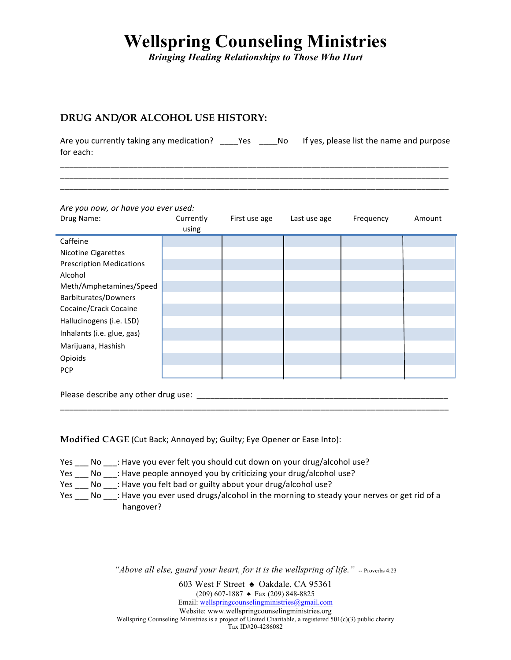*Bringing Healing Relationships to Those Who Hurt*

### **DRUG AND/OR ALCOHOL USE HISTORY:**

Are you currently taking any medication? \_\_\_\_Yes \_\_\_\_No If yes, please list the name and purpose for each: \_\_\_\_\_\_\_\_\_\_\_\_\_\_\_\_\_\_\_\_\_\_\_\_\_\_\_\_\_\_\_\_\_\_\_\_\_\_\_\_\_\_\_\_\_\_\_\_\_\_\_\_\_\_\_\_\_\_\_\_\_\_\_\_\_\_\_\_\_\_\_\_\_\_\_\_\_\_\_\_\_\_\_\_\_

\_\_\_\_\_\_\_\_\_\_\_\_\_\_\_\_\_\_\_\_\_\_\_\_\_\_\_\_\_\_\_\_\_\_\_\_\_\_\_\_\_\_\_\_\_\_\_\_\_\_\_\_\_\_\_\_\_\_\_\_\_\_\_\_\_\_\_\_\_\_\_\_\_\_\_\_\_\_\_\_\_\_\_\_\_ \_\_\_\_\_\_\_\_\_\_\_\_\_\_\_\_\_\_\_\_\_\_\_\_\_\_\_\_\_\_\_\_\_\_\_\_\_\_\_\_\_\_\_\_\_\_\_\_\_\_\_\_\_\_\_\_\_\_\_\_\_\_\_\_\_\_\_\_\_\_\_\_\_\_\_\_\_\_\_\_\_\_\_\_\_

#### Are you now, or have you ever used:

| Drug Name:                      | Currently<br>using | First use age | Last use age | Frequency | Amount |
|---------------------------------|--------------------|---------------|--------------|-----------|--------|
| Caffeine                        |                    |               |              |           |        |
| <b>Nicotine Cigarettes</b>      |                    |               |              |           |        |
| <b>Prescription Medications</b> |                    |               |              |           |        |
| Alcohol                         |                    |               |              |           |        |
| Meth/Amphetamines/Speed         |                    |               |              |           |        |
| Barbiturates/Downers            |                    |               |              |           |        |
| Cocaine/Crack Cocaine           |                    |               |              |           |        |
| Hallucinogens (i.e. LSD)        |                    |               |              |           |        |
| Inhalants (i.e. glue, gas)      |                    |               |              |           |        |
| Marijuana, Hashish              |                    |               |              |           |        |
| Opioids                         |                    |               |              |           |        |
| <b>PCP</b>                      |                    |               |              |           |        |

Please describe any other drug use:  $\Box$ 

**Modified CAGE** (Cut Back; Annoyed by; Guilty; Eye Opener or Ease Into):

Yes \_\_\_ No \_\_\_: Have you ever felt you should cut down on your drug/alcohol use?

Yes \_\_\_ No \_\_\_: Have people annoyed you by criticizing your drug/alcohol use?

Yes \_\_\_ No \_\_\_: Have you felt bad or guilty about your drug/alcohol use?

Yes \_\_\_ No \_\_\_: Have you ever used drugs/alcohol in the morning to steady your nerves or get rid of a hangover?

\_\_\_\_\_\_\_\_\_\_\_\_\_\_\_\_\_\_\_\_\_\_\_\_\_\_\_\_\_\_\_\_\_\_\_\_\_\_\_\_\_\_\_\_\_\_\_\_\_\_\_\_\_\_\_\_\_\_\_\_\_\_\_\_\_\_\_\_\_\_\_\_\_\_\_\_\_\_\_\_\_\_\_\_\_

"*Above all else, guard your heart, for it is the wellspring of life.*" -- Proverbs 4:23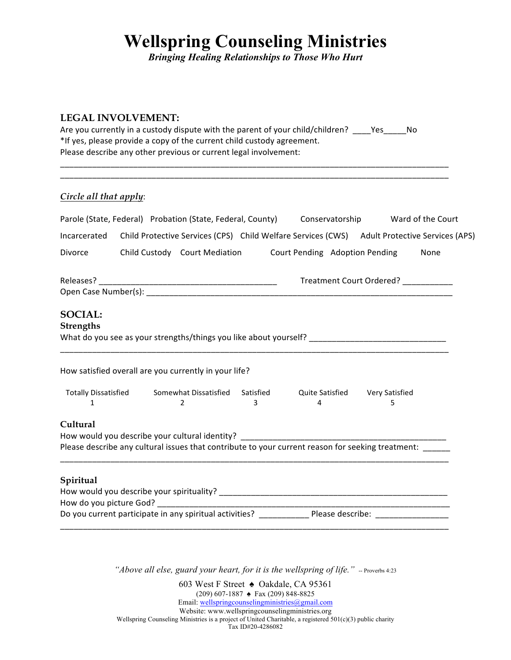*Bringing Healing Relationships to Those Who Hurt*

### **LEGAL INVOLVEMENT:**

| Are you currently in a custody dispute with the parent of your child/children? | Yes | Nο |
|--------------------------------------------------------------------------------|-----|----|
| *If yes, please provide a copy of the current child custody agreement.         |     |    |
| Please describe any other previous or current legal involvement:               |     |    |

\_\_\_\_\_\_\_\_\_\_\_\_\_\_\_\_\_\_\_\_\_\_\_\_\_\_\_\_\_\_\_\_\_\_\_\_\_\_\_\_\_\_\_\_\_\_\_\_\_\_\_\_\_\_\_\_\_\_\_\_\_\_\_\_\_\_\_\_\_\_\_\_\_\_\_\_\_\_\_\_\_\_\_\_\_ \_\_\_\_\_\_\_\_\_\_\_\_\_\_\_\_\_\_\_\_\_\_\_\_\_\_\_\_\_\_\_\_\_\_\_\_\_\_\_\_\_\_\_\_\_\_\_\_\_\_\_\_\_\_\_\_\_\_\_\_\_\_\_\_\_\_\_\_\_\_\_\_\_\_\_\_\_\_\_\_\_\_\_\_\_

## *Circle all that apply*:

|                                    | Parole (State, Federal) Probation (State, Federal, County) Conservatorship       |   |   |                                                                                                                                                                                                                                                                                                                                                    | Ward of the Court |
|------------------------------------|----------------------------------------------------------------------------------|---|---|----------------------------------------------------------------------------------------------------------------------------------------------------------------------------------------------------------------------------------------------------------------------------------------------------------------------------------------------------|-------------------|
| Incarcerated                       |                                                                                  |   |   | Child Protective Services (CPS) Child Welfare Services (CWS) Adult Protective Services (APS)                                                                                                                                                                                                                                                       |                   |
| Divorce                            | Child Custody Court Mediation Court Pending Adoption Pending                     |   |   |                                                                                                                                                                                                                                                                                                                                                    | None              |
|                                    |                                                                                  |   |   | Treatment Court Ordered? ___________                                                                                                                                                                                                                                                                                                               |                   |
| <b>SOCIAL:</b><br><b>Strengths</b> |                                                                                  |   |   | What do you see as your strengths/things you like about yourself? __________________________________                                                                                                                                                                                                                                               |                   |
|                                    | How satisfied overall are you currently in your life?                            |   |   |                                                                                                                                                                                                                                                                                                                                                    |                   |
| 1                                  | $\mathcal{P}$                                                                    | 3 | 4 | Totally Dissatisfied Somewhat Dissatisfied Satisfied Quite Satisfied Very Satisfied<br>5                                                                                                                                                                                                                                                           |                   |
| Cultural                           | How would you describe your cultural identity? _________________________________ |   |   | Please describe any cultural issues that contribute to your current reason for seeking treatment: ______                                                                                                                                                                                                                                           |                   |
| Spiritual                          |                                                                                  |   |   | <u> 1989 - Johann John Harry John Harry John Harry John Harry John Harry John Harry John Harry John Harry John Harry John Harry John Harry John Harry John Harry John Harry John Harry John Harry John Harry John Harry John Har</u><br>Do you current participate in any spiritual activities? ______________Please describe: ___________________ |                   |

"*Above all else, guard your heart, for it is the wellspring of life.*" -- Proverbs 4:23